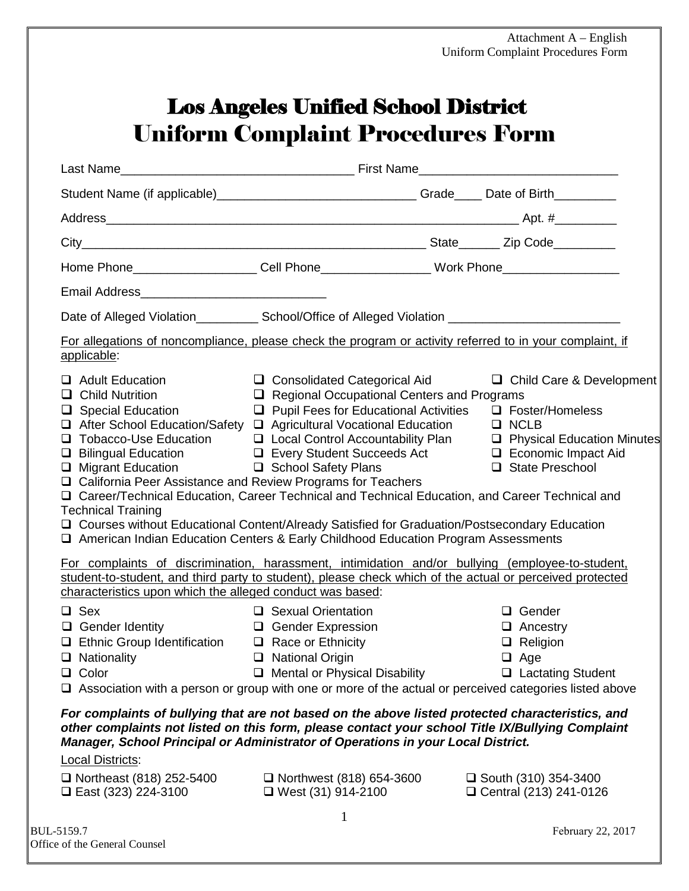## Los Angeles Unified School District Uniform Complaint Procedures Form

| Student Name (if applicable)__________________________________Grade____ Date of Birth_________                                                                                                                                                                                                                                                                                                                                                                                                                                                                                                                                                                                                                                                                                                                                                                                                                                                                                                                                                                                                                                                            |                                                                                   |                                                                                          |
|-----------------------------------------------------------------------------------------------------------------------------------------------------------------------------------------------------------------------------------------------------------------------------------------------------------------------------------------------------------------------------------------------------------------------------------------------------------------------------------------------------------------------------------------------------------------------------------------------------------------------------------------------------------------------------------------------------------------------------------------------------------------------------------------------------------------------------------------------------------------------------------------------------------------------------------------------------------------------------------------------------------------------------------------------------------------------------------------------------------------------------------------------------------|-----------------------------------------------------------------------------------|------------------------------------------------------------------------------------------|
|                                                                                                                                                                                                                                                                                                                                                                                                                                                                                                                                                                                                                                                                                                                                                                                                                                                                                                                                                                                                                                                                                                                                                           |                                                                                   |                                                                                          |
|                                                                                                                                                                                                                                                                                                                                                                                                                                                                                                                                                                                                                                                                                                                                                                                                                                                                                                                                                                                                                                                                                                                                                           |                                                                                   |                                                                                          |
|                                                                                                                                                                                                                                                                                                                                                                                                                                                                                                                                                                                                                                                                                                                                                                                                                                                                                                                                                                                                                                                                                                                                                           |                                                                                   |                                                                                          |
|                                                                                                                                                                                                                                                                                                                                                                                                                                                                                                                                                                                                                                                                                                                                                                                                                                                                                                                                                                                                                                                                                                                                                           |                                                                                   |                                                                                          |
| Date of Alleged Violation____________________ School/Office of Alleged Violation _____________________________                                                                                                                                                                                                                                                                                                                                                                                                                                                                                                                                                                                                                                                                                                                                                                                                                                                                                                                                                                                                                                            |                                                                                   |                                                                                          |
| For allegations of noncompliance, please check the program or activity referred to in your complaint, if<br>applicable:                                                                                                                                                                                                                                                                                                                                                                                                                                                                                                                                                                                                                                                                                                                                                                                                                                                                                                                                                                                                                                   |                                                                                   |                                                                                          |
| $\Box$ Adult Education<br>$\Box$ Child Nutrition<br>$\Box$ Special Education $\Box$ Pupil Fees for Educational Activities $\Box$ Foster/Homeless<br>$\Box$ After School Education/Safety $\Box$ Agricultural Vocational Education $\Box$ NCLB<br>$\Box$ Tobacco-Use Education $\Box$ Local Control Accountability Plan $\Box$ Physical Education Minutes<br>□ Bilingual Education □ Every Student Succeeds Act □ Economic Impact Aid<br>□ Migrant Education □ School Safety Plans<br>□ California Peer Assistance and Review Programs for Teachers<br>□ Career/Technical Education, Career Technical and Technical Education, and Career Technical and<br><b>Technical Training</b><br>□ Courses without Educational Content/Already Satisfied for Graduation/Postsecondary Education<br>□ American Indian Education Centers & Early Childhood Education Program Assessments<br>For complaints of discrimination, harassment, intimidation and/or bullying (employee-to-student,<br>student-to-student, and third party to student), please check which of the actual or perceived protected<br>characteristics upon which the alleged conduct was based: | $\Box$ Consolidated Categorical Aid<br>Regional Occupational Centers and Programs | □ Child Care & Development<br>□ State Preschool                                          |
| $\Box$ Sex<br>$\Box$ Gender Identity $\Box$ Gender Expression<br>$\Box$ Ethnic Group Identification $\Box$ Race or Ethnicity<br>□ Nationality □ National Origin<br>$\Box$ Color<br>□ Association with a person or group with one or more of the actual or perceived categories listed above                                                                                                                                                                                                                                                                                                                                                                                                                                                                                                                                                                                                                                                                                                                                                                                                                                                               | □ Sexual Orientation<br>$\Box$ Mental or Physical Disability                      | $\Box$ Gender<br>$\Box$ Ancestry<br>$\Box$ Religion<br>$\Box$ Age<br>□ Lactating Student |
| For complaints of bullying that are not based on the above listed protected characteristics, and<br>other complaints not listed on this form, please contact your school Title IX/Bullying Complaint<br>Manager, School Principal or Administrator of Operations in your Local District.<br><b>Local Districts:</b><br>$\Box$ Northeast (818) 252-5400<br>□ East (323) 224-3100                                                                                                                                                                                                                                                                                                                                                                                                                                                                                                                                                                                                                                                                                                                                                                           | $\Box$ Northwest (818) 654-3600<br>$\Box$ West (31) 914-2100                      | $\Box$ South (310) 354-3400<br>$\Box$ Central (213) 241-0126                             |
| BUL-5159.7                                                                                                                                                                                                                                                                                                                                                                                                                                                                                                                                                                                                                                                                                                                                                                                                                                                                                                                                                                                                                                                                                                                                                | $\mathbf 1$                                                                       | February 22, 2017                                                                        |